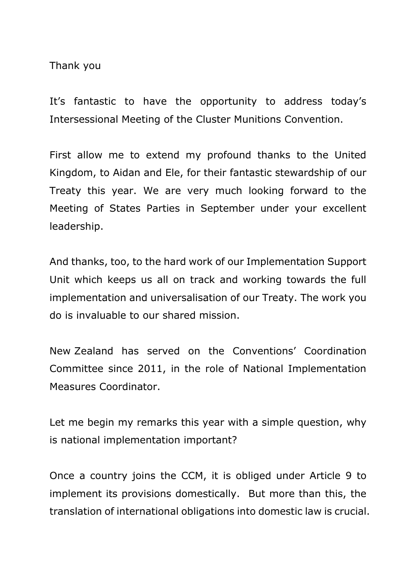Thank you

It's fantastic to have the opportunity to address today's Intersessional Meeting of the Cluster Munitions Convention.

First allow me to extend my profound thanks to the United Kingdom, to Aidan and Ele, for their fantastic stewardship of our Treaty this year. We are very much looking forward to the Meeting of States Parties in September under your excellent leadership.

And thanks, too, to the hard work of our Implementation Support Unit which keeps us all on track and working towards the full implementation and universalisation of our Treaty. The work you do is invaluable to our shared mission.

New Zealand has served on the Conventions' Coordination Committee since 2011, in the role of National Implementation Measures Coordinator.

Let me begin my remarks this year with a simple question, why is national implementation important?

Once a country joins the CCM, it is obliged under Article 9 to implement its provisions domestically. But more than this, the translation of international obligations into domestic law is crucial.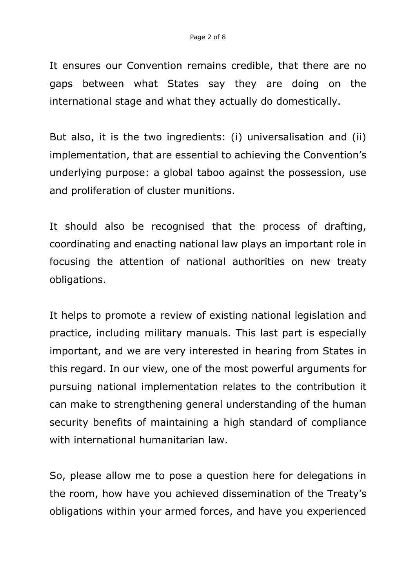It ensures our Convention remains credible, that there are no gaps between what States say they are doing on the international stage and what they actually do domestically.

But also, it is the two ingredients: (i) universalisation and (ii) implementation, that are essential to achieving the Convention's underlying purpose: a global taboo against the possession, use and proliferation of cluster munitions.

It should also be recognised that the process of drafting, coordinating and enacting national law plays an important role in focusing the attention of national authorities on new treaty obligations.

It helps to promote a review of existing national legislation and practice, including military manuals. This last part is especially important, and we are very interested in hearing from States in this regard. In our view, one of the most powerful arguments for pursuing national implementation relates to the contribution it can make to strengthening general understanding of the human security benefits of maintaining a high standard of compliance with international humanitarian law.

So, please allow me to pose a question here for delegations in the room, how have you achieved dissemination of the Treaty's obligations within your armed forces, and have you experienced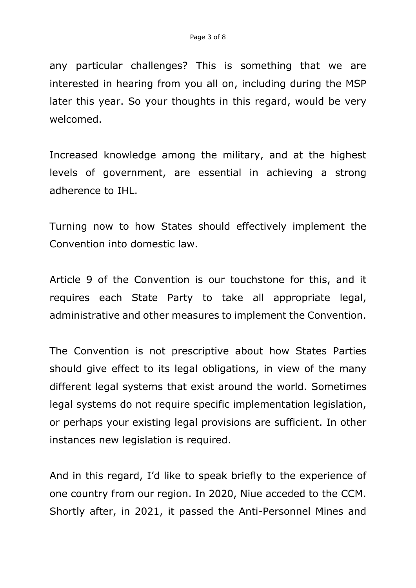any particular challenges? This is something that we are interested in hearing from you all on, including during the MSP later this year. So your thoughts in this regard, would be very welcomed.

Increased knowledge among the military, and at the highest levels of government, are essential in achieving a strong adherence to IHL.

Turning now to how States should effectively implement the Convention into domestic law.

Article 9 of the Convention is our touchstone for this, and it requires each State Party to take all appropriate legal, administrative and other measures to implement the Convention.

The Convention is not prescriptive about how States Parties should give effect to its legal obligations, in view of the many different legal systems that exist around the world. Sometimes legal systems do not require specific implementation legislation, or perhaps your existing legal provisions are sufficient. In other instances new legislation is required.

And in this regard, I'd like to speak briefly to the experience of one country from our region. In 2020, Niue acceded to the CCM. Shortly after, in 2021, it passed the Anti-Personnel Mines and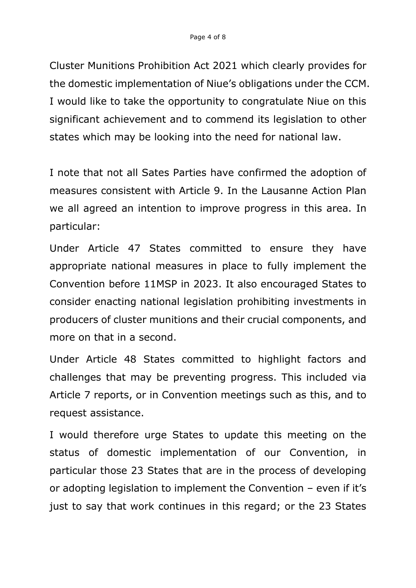Cluster Munitions Prohibition Act 2021 which clearly provides for the domestic implementation of Niue's obligations under the CCM. I would like to take the opportunity to congratulate Niue on this significant achievement and to commend its legislation to other states which may be looking into the need for national law.

I note that not all Sates Parties have confirmed the adoption of measures consistent with Article 9. In the Lausanne Action Plan we all agreed an intention to improve progress in this area. In particular:

Under Article 47 States committed to ensure they have appropriate national measures in place to fully implement the Convention before 11MSP in 2023. It also encouraged States to consider enacting national legislation prohibiting investments in producers of cluster munitions and their crucial components, and more on that in a second.

Under Article 48 States committed to highlight factors and challenges that may be preventing progress. This included via Article 7 reports, or in Convention meetings such as this, and to request assistance.

I would therefore urge States to update this meeting on the status of domestic implementation of our Convention, in particular those 23 States that are in the process of developing or adopting legislation to implement the Convention – even if it's just to say that work continues in this regard; or the 23 States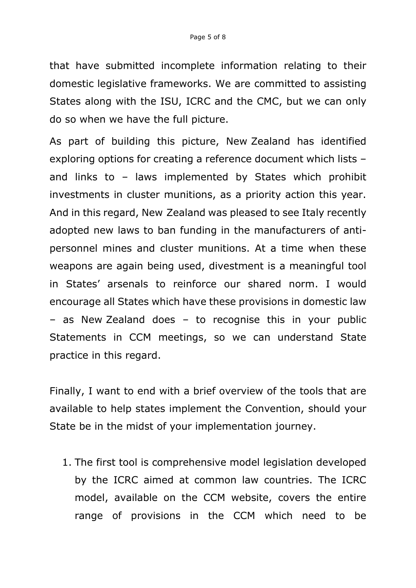that have submitted incomplete information relating to their domestic legislative frameworks. We are committed to assisting States along with the ISU, ICRC and the CMC, but we can only do so when we have the full picture.

As part of building this picture, New Zealand has identified exploring options for creating a reference document which lists – and links to – laws implemented by States which prohibit investments in cluster munitions, as a priority action this year. And in this regard, New Zealand was pleased to see Italy recently adopted new laws to ban funding in the manufacturers of antipersonnel mines and cluster munitions. At a time when these weapons are again being used, divestment is a meaningful tool in States' arsenals to reinforce our shared norm. I would encourage all States which have these provisions in domestic law – as New Zealand does – to recognise this in your public Statements in CCM meetings, so we can understand State practice in this regard.

Finally, I want to end with a brief overview of the tools that are available to help states implement the Convention, should your State be in the midst of your implementation journey.

1. The first tool is comprehensive model legislation developed by the ICRC aimed at common law countries. The ICRC model, available on the CCM website, covers the entire range of provisions in the CCM which need to be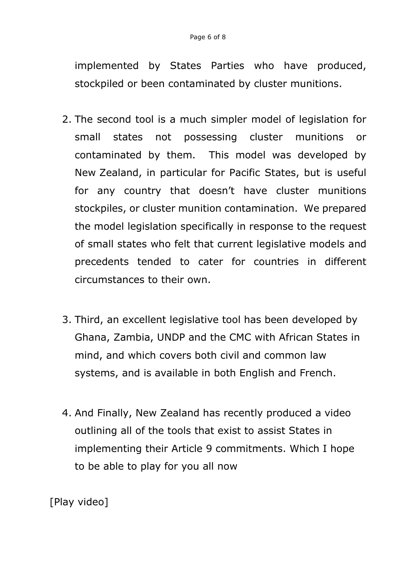implemented by States Parties who have produced, stockpiled or been contaminated by cluster munitions.

- 2. The second tool is a much simpler model of legislation for small states not possessing cluster munitions or contaminated by them. This model was developed by New Zealand, in particular for Pacific States, but is useful for any country that doesn't have cluster munitions stockpiles, or cluster munition contamination. We prepared the model legislation specifically in response to the request of small states who felt that current legislative models and precedents tended to cater for countries in different circumstances to their own.
- 3. Third, an excellent legislative tool has been developed by Ghana, Zambia, UNDP and the CMC with African States in mind, and which covers both civil and common law systems, and is available in both English and French.
- 4. And Finally, New Zealand has recently produced a video outlining all of the tools that exist to assist States in implementing their Article 9 commitments. Which I hope to be able to play for you all now

[Play video]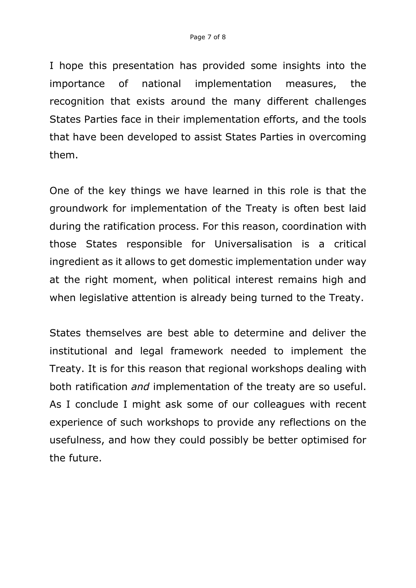I hope this presentation has provided some insights into the importance of national implementation measures, the recognition that exists around the many different challenges States Parties face in their implementation efforts, and the tools that have been developed to assist States Parties in overcoming them.

One of the key things we have learned in this role is that the groundwork for implementation of the Treaty is often best laid during the ratification process. For this reason, coordination with those States responsible for Universalisation is a critical ingredient as it allows to get domestic implementation under way at the right moment, when political interest remains high and when legislative attention is already being turned to the Treaty.

States themselves are best able to determine and deliver the institutional and legal framework needed to implement the Treaty. It is for this reason that regional workshops dealing with both ratification *and* implementation of the treaty are so useful. As I conclude I might ask some of our colleagues with recent experience of such workshops to provide any reflections on the usefulness, and how they could possibly be better optimised for the future.